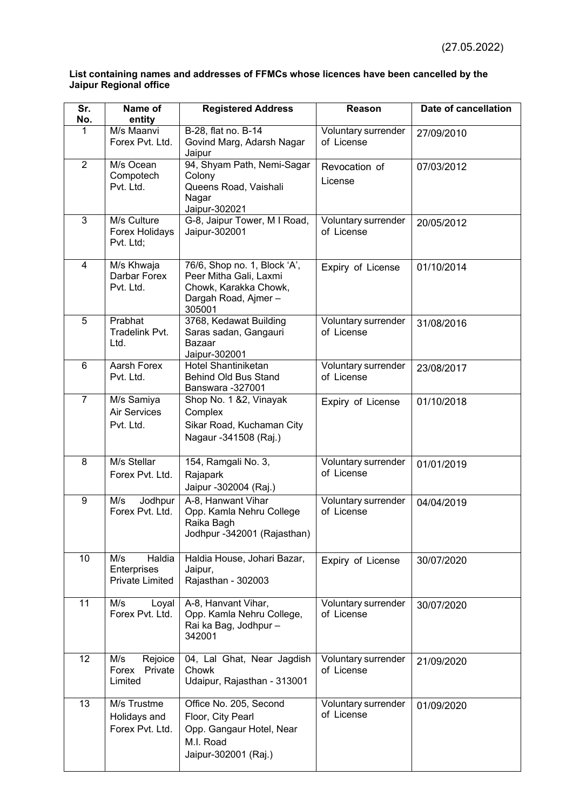## **List containing names and addresses of FFMCs whose licences have been cancelled by the Jaipur Regional office**

| Sr.<br>No.     | Name of<br>entity                                      | <b>Registered Address</b>                                                                                        | Reason                            | Date of cancellation |
|----------------|--------------------------------------------------------|------------------------------------------------------------------------------------------------------------------|-----------------------------------|----------------------|
| 1              | M/s Maanvi<br>Forex Pvt. Ltd.                          | B-28, flat no. B-14<br>Govind Marg, Adarsh Nagar<br>Jaipur                                                       | Voluntary surrender<br>of License | 27/09/2010           |
| $\overline{2}$ | M/s Ocean<br>Compotech<br>Pvt. Ltd.                    | 94, Shyam Path, Nemi-Sagar<br>Colony<br>Queens Road, Vaishali<br>Nagar<br>Jaipur-302021                          | Revocation of<br>License          | 07/03/2012           |
| 3              | M/s Culture<br>Forex Holidays<br>Pvt. Ltd;             | G-8, Jaipur Tower, M I Road,<br>Jaipur-302001                                                                    | Voluntary surrender<br>of License | 20/05/2012           |
| 4              | M/s Khwaja<br>Darbar Forex<br>Pvt. Ltd.                | 76/6, Shop no. 1, Block 'A',<br>Peer Mitha Gali, Laxmi<br>Chowk, Karakka Chowk,<br>Dargah Road, Ajmer-<br>305001 | Expiry of License                 | 01/10/2014           |
| 5              | Prabhat<br>Tradelink Pvt.<br>Ltd.                      | 3768, Kedawat Building<br>Saras sadan, Gangauri<br>Bazaar<br>Jaipur-302001                                       | Voluntary surrender<br>of License | 31/08/2016           |
| $6\phantom{1}$ | Aarsh Forex<br>Pvt. Ltd.                               | <b>Hotel Shantiniketan</b><br><b>Behind Old Bus Stand</b><br>Banswara -327001                                    | Voluntary surrender<br>of License | 23/08/2017           |
| $\overline{7}$ | M/s Samiya<br><b>Air Services</b><br>Pvt. Ltd.         | Shop No. 1 &2, Vinayak<br>Complex<br>Sikar Road, Kuchaman City<br>Nagaur -341508 (Raj.)                          | Expiry of License                 | 01/10/2018           |
| 8              | M/s Stellar<br>Forex Pvt. Ltd.                         | 154, Ramgali No. 3,<br>Rajapark<br>Jaipur -302004 (Raj.)                                                         | Voluntary surrender<br>of License | 01/01/2019           |
| 9              | M/s<br>Jodhpur<br>Forex Pvt. Ltd.                      | A-8, Hanwant Vihar<br>Opp. Kamla Nehru College<br>Raika Bagh<br>Jodhpur -342001 (Rajasthan)                      | Voluntary surrender<br>of License | 04/04/2019           |
| 10             | Haldia<br>M/s<br>Enterprises<br><b>Private Limited</b> | Haldia House, Johari Bazar,<br>Jaipur,<br>Rajasthan - 302003                                                     | Expiry of License                 | 30/07/2020           |
| 11             | M/s<br>Loyal<br>Forex Pvt. Ltd.                        | A-8, Hanvant Vihar,<br>Opp. Kamla Nehru College,<br>Rai ka Bag, Jodhpur -<br>342001                              | Voluntary surrender<br>of License | 30/07/2020           |
| 12             | M/s<br>Rejoice<br>Private<br>Forex<br>Limited          | 04, Lal Ghat, Near Jagdish<br>Chowk<br>Udaipur, Rajasthan - 313001                                               | Voluntary surrender<br>of License | 21/09/2020           |
| 13             | M/s Trustme<br>Holidays and<br>Forex Pvt. Ltd.         | Office No. 205, Second<br>Floor, City Pearl<br>Opp. Gangaur Hotel, Near<br>M.I. Road<br>Jaipur-302001 (Raj.)     | Voluntary surrender<br>of License | 01/09/2020           |